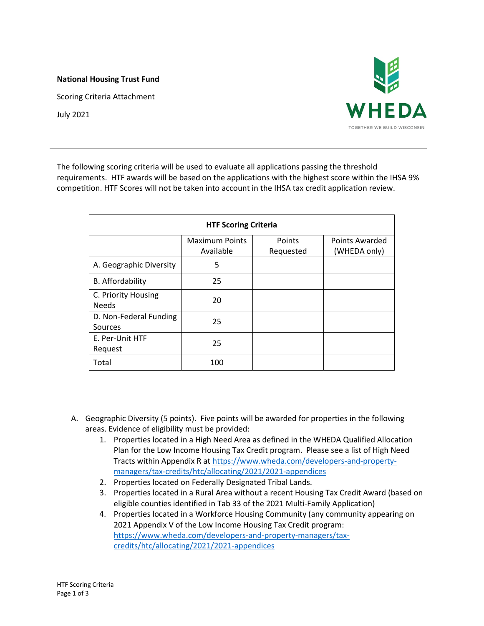## **National Housing Trust Fund**

Scoring Criteria Attachment

July 2021



The following scoring criteria will be used to evaluate all applications passing the threshold requirements. HTF awards will be based on the applications with the highest score within the IHSA 9% competition. HTF Scores will not be taken into account in the IHSA tax credit application review.

| <b>HTF Scoring Criteria</b>         |                                    |                     |                                |  |
|-------------------------------------|------------------------------------|---------------------|--------------------------------|--|
|                                     | <b>Maximum Points</b><br>Available | Points<br>Requested | Points Awarded<br>(WHEDA only) |  |
| A. Geographic Diversity             | 5                                  |                     |                                |  |
| B. Affordability                    | 25                                 |                     |                                |  |
| C. Priority Housing<br><b>Needs</b> | 20                                 |                     |                                |  |
| D. Non-Federal Funding<br>Sources   | 25                                 |                     |                                |  |
| E. Per-Unit HTF<br>Request          | 25                                 |                     |                                |  |
| Total                               | 100                                |                     |                                |  |

- A. Geographic Diversity (5 points). Five points will be awarded for properties in the following areas. Evidence of eligibility must be provided:
	- 1. Properties located in a High Need Area as defined in the WHEDA Qualified Allocation Plan for the Low Income Housing Tax Credit program. Please see a list of High Need Tracts within Appendix R at [https://www.wheda.com/developers-and-property](https://www.wheda.com/developers-and-property-managers/tax-credits/htc/allocating/2021/2021-appendices)[managers/tax-credits/htc/allocating/2021/2021-appendices](https://www.wheda.com/developers-and-property-managers/tax-credits/htc/allocating/2021/2021-appendices)
	- 2. Properties located on Federally Designated Tribal Lands.
	- 3. Properties located in a Rural Area without a recent Housing Tax Credit Award (based on eligible counties identified in Tab 33 of the 2021 Multi-Family Application)
	- 4. Properties located in a Workforce Housing Community (any community appearing on 2021 Appendix V of the Low Income Housing Tax Credit program: [https://www.wheda.com/developers-and-property-managers/tax](https://www.wheda.com/developers-and-property-managers/tax-credits/htc/allocating/2021/2021-appendices)[credits/htc/allocating/2021/2021-appendices](https://www.wheda.com/developers-and-property-managers/tax-credits/htc/allocating/2021/2021-appendices)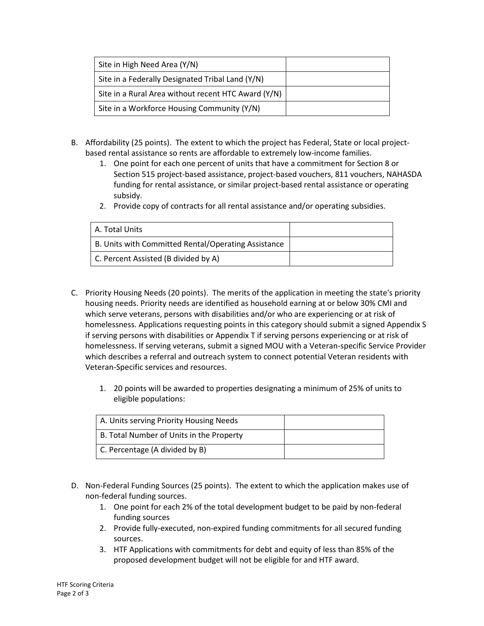| Site in High Need Area (Y/N)                        |  |
|-----------------------------------------------------|--|
| Site in a Federally Designated Tribal Land (Y/N)    |  |
| Site in a Rural Area without recent HTC Award (Y/N) |  |
| Site in a Workforce Housing Community (Y/N)         |  |

- B. Affordability (25 points). The extent to which the project has Federal, State or local projectbased rental assistance so rents are affordable to extremely low-income families.
	- 1. One point for each one percent of units that have a commitment for Section 8 or Section 515 project-based assistance, project-based vouchers, 811 vouchers, NAHASDA funding for rental assistance, or similar project-based rental assistance or operating subsidy.
	- 2. Provide copy of contracts for all rental assistance and/or operating subsidies.

| A. Total Units                                      |  |
|-----------------------------------------------------|--|
| B. Units with Committed Rental/Operating Assistance |  |
| C. Percent Assisted (B divided by A)                |  |

- C. Priority Housing Needs (20 points). The merits of the application in meeting the state's priority housing needs. Priority needs are identified as household earning at or below 30% CMI and which serve veterans, persons with disabilities and/or who are experiencing or at risk of homelessness. Applications requesting points in this category should submit a signed Appendix S if serving persons with disabilities or Appendix T if serving persons experiencing or at risk of homelessness. If serving veterans, submit a signed MOU with a Veteran-specific Service Provider which describes a referral and outreach system to connect potential Veteran residents with Veteran-Specific services and resources.
	- 1. 20 points will be awarded to properties designating a minimum of 25% of units to eligible populations:

| A. Units serving Priority Housing Needs  |  |
|------------------------------------------|--|
| B. Total Number of Units in the Property |  |
| C. Percentage (A divided by B)           |  |

- D. Non-Federal Funding Sources (25 points). The extent to which the application makes use of non-federal funding sources.
	- 1. One point for each 2% of the total development budget to be paid by non-federal funding sources
	- 2. Provide fully-executed, non-expired funding commitments for all secured funding sources.
	- 3. HTF Applications with commitments for debt and equity of less than 85% of the proposed development budget will not be eligible for and HTF award.